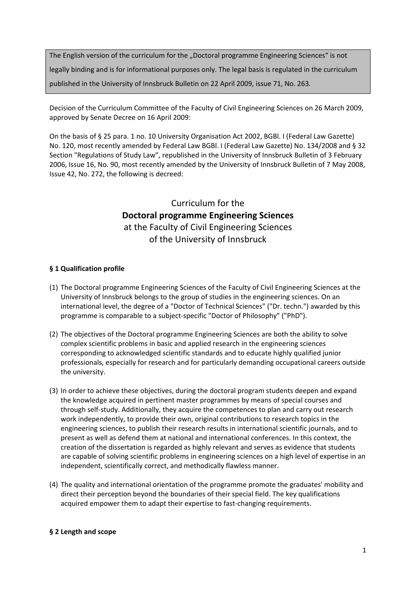The English version of the curriculum for the "Doctoral programme Engineering Sciences" is not legally binding and is for informational purposes only. The legal basis is regulated in the curriculum published in the University of Innsbruck Bulletin on 22 April 2009, issue 71, No. 263.

Decision of the Curriculum Committee of the Faculty of Civil Engineering Sciences on 26 March 2009, approved by Senate Decree on 16 April 2009:

On the basis of § 25 para. 1 no. 10 University Organisation Act 2002, BGBl. I (Federal Law Gazette) No. 120, most recently amended by Federal Law BGBl. I (Federal Law Gazette) No. 134/2008 and § 32 Section "Regulations of Study Law", republished in the University of Innsbruck Bulletin of 3 February 2006, Issue 16, No. 90, most recently amended by the University of Innsbruck Bulletin of 7 May 2008, Issue 42, No. 272, the following is decreed:

# Curriculum for the **Doctoral programme Engineering Sciences** at the Faculty of Civil Engineering Sciences of the University of Innsbruck

## **§ 1 Qualification profile**

- (1) The Doctoral programme Engineering Sciences of the Faculty of Civil Engineering Sciences at the University of Innsbruck belongs to the group of studies in the engineering sciences. On an international level, the degree of a "Doctor of Technical Sciences" ("Dr. techn.") awarded by this programme is comparable to a subject‐specific "Doctor of Philosophy" ("PhD").
- (2) The objectives of the Doctoral programme Engineering Sciences are both the ability to solve complex scientific problems in basic and applied research in the engineering sciences corresponding to acknowledged scientific standards and to educate highly qualified junior professionals, especially for research and for particularly demanding occupational careers outside the university.
- (3) In order to achieve these objectives, during the doctoral program students deepen and expand the knowledge acquired in pertinent master programmes by means of special courses and through self‐study. Additionally, they acquire the competences to plan and carry out research work independently, to provide their own, original contributions to research topics in the engineering sciences, to publish their research results in international scientific journals, and to present as well as defend them at national and international conferences. In this context, the creation of the dissertation is regarded as highly relevant and serves as evidence that students are capable of solving scientific problems in engineering sciences on a high level of expertise in an independent, scientifically correct, and methodically flawless manner.
- (4) The quality and international orientation of the programme promote the graduates' mobility and direct their perception beyond the boundaries of their special field. The key qualifications acquired empower them to adapt their expertise to fast‐changing requirements.

## **§ 2 Length and scope**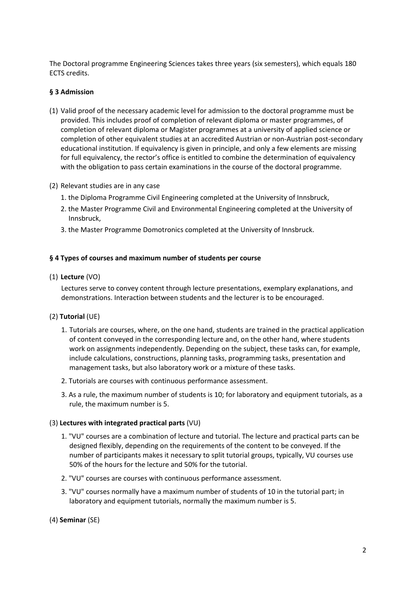The Doctoral programme Engineering Sciences takes three years (six semesters), which equals 180 ECTS credits.

#### **§ 3 Admission**

- (1) Valid proof of the necessary academic level for admission to the doctoral programme must be provided. This includes proof of completion of relevant diploma or master programmes, of completion of relevant diploma or Magister programmes at a university of applied science or completion of other equivalent studies at an accredited Austrian or non‐Austrian post‐secondary educational institution. If equivalency is given in principle, and only a few elements are missing for full equivalency, the rector's office is entitled to combine the determination of equivalency with the obligation to pass certain examinations in the course of the doctoral programme.
- (2) Relevant studies are in any case
	- 1. the Diploma Programme Civil Engineering completed at the University of Innsbruck,
	- 2. the Master Programme Civil and Environmental Engineering completed at the University of Innsbruck,
	- 3. the Master Programme Domotronics completed at the University of Innsbruck.

#### **§ 4 Types of courses and maximum number of students per course**

(1) **Lecture** (VO)

Lectures serve to convey content through lecture presentations, exemplary explanations, and demonstrations. Interaction between students and the lecturer is to be encouraged.

#### (2) **Tutorial** (UE)

- 1. Tutorials are courses, where, on the one hand, students are trained in the practical application of content conveyed in the corresponding lecture and, on the other hand, where students work on assignments independently. Depending on the subject, these tasks can, for example, include calculations, constructions, planning tasks, programming tasks, presentation and management tasks, but also laboratory work or a mixture of these tasks.
- 2. Tutorials are courses with continuous performance assessment.
- 3. As a rule, the maximum number of students is 10; for laboratory and equipment tutorials, as a rule, the maximum number is 5.

#### (3) **Lectures with integrated practical parts** (VU)

- 1. "VU" courses are a combination of lecture and tutorial. The lecture and practical parts can be designed flexibly, depending on the requirements of the content to be conveyed. If the number of participants makes it necessary to split tutorial groups, typically, VU courses use 50% of the hours for the lecture and 50% for the tutorial.
- 2. "VU" courses are courses with continuous performance assessment.
- 3. "VU" courses normally have a maximum number of students of 10 in the tutorial part; in laboratory and equipment tutorials, normally the maximum number is 5.
- (4) **Seminar** (SE)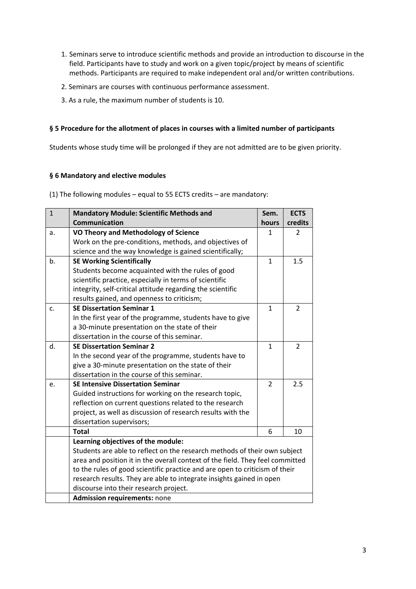- 1. Seminars serve to introduce scientific methods and provide an introduction to discourse in the field. Participants have to study and work on a given topic/project by means of scientific methods. Participants are required to make independent oral and/or written contributions.
- 2. Seminars are courses with continuous performance assessment.
- 3. As a rule, the maximum number of students is 10.

#### **§ 5 Procedure for the allotment of places in courses with a limited number of participants**

Students whose study time will be prolonged if they are not admitted are to be given priority.

#### **§ 6 Mandatory and elective modules**

(1) The following modules – equal to 55 ECTS credits – are mandatory:

| $\mathbf{1}$ | <b>Mandatory Module: Scientific Methods and</b>                               | Sem.           | <b>ECTS</b>    |  |
|--------------|-------------------------------------------------------------------------------|----------------|----------------|--|
|              | Communication                                                                 | hours          | credits        |  |
| a.           | <b>VO Theory and Methodology of Science</b>                                   | 1              | $\overline{2}$ |  |
|              | Work on the pre-conditions, methods, and objectives of                        |                |                |  |
|              | science and the way knowledge is gained scientifically;                       |                |                |  |
| b.           | <b>SE Working Scientifically</b>                                              | $\mathbf{1}$   | 1.5            |  |
|              | Students become acquainted with the rules of good                             |                |                |  |
|              | scientific practice, especially in terms of scientific                        |                |                |  |
|              | integrity, self-critical attitude regarding the scientific                    |                |                |  |
|              | results gained, and openness to criticism;                                    |                |                |  |
| c.           | <b>SE Dissertation Seminar 1</b>                                              | 1              | 2              |  |
|              | In the first year of the programme, students have to give                     |                |                |  |
|              | a 30-minute presentation on the state of their                                |                |                |  |
|              | dissertation in the course of this seminar.                                   |                |                |  |
| d.           | <b>SE Dissertation Seminar 2</b>                                              | $\mathbf{1}$   | 2              |  |
|              | In the second year of the programme, students have to                         |                |                |  |
|              | give a 30-minute presentation on the state of their                           |                |                |  |
|              | dissertation in the course of this seminar.                                   |                |                |  |
| e.           | <b>SE Intensive Dissertation Seminar</b>                                      | $\overline{2}$ | 2.5            |  |
|              | Guided instructions for working on the research topic,                        |                |                |  |
|              | reflection on current questions related to the research                       |                |                |  |
|              | project, as well as discussion of research results with the                   |                |                |  |
|              | dissertation supervisors;                                                     |                |                |  |
|              | <b>Total</b>                                                                  | 6              | 10             |  |
|              | Learning objectives of the module:                                            |                |                |  |
|              | Students are able to reflect on the research methods of their own subject     |                |                |  |
|              | area and position it in the overall context of the field. They feel committed |                |                |  |
|              | to the rules of good scientific practice and are open to criticism of their   |                |                |  |
|              | research results. They are able to integrate insights gained in open          |                |                |  |
|              | discourse into their research project.                                        |                |                |  |
|              | Admission requirements: none                                                  |                |                |  |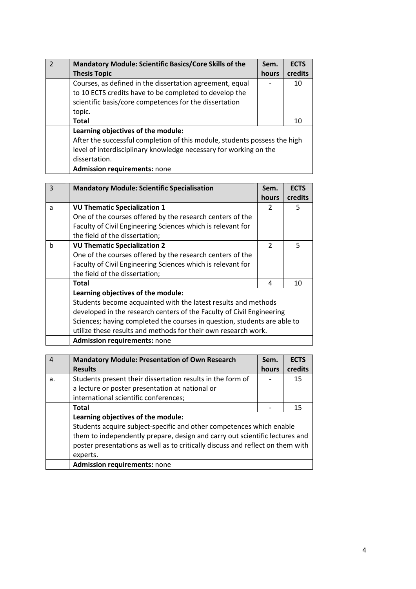| <b>Mandatory Module: Scientific Basics/Core Skills of the</b><br><b>Thesis Topic</b>                                                                                                                  | Sem.<br>hours | <b>ECTS</b><br>credits |
|-------------------------------------------------------------------------------------------------------------------------------------------------------------------------------------------------------|---------------|------------------------|
| Courses, as defined in the dissertation agreement, equal<br>to 10 ECTS credits have to be completed to develop the<br>scientific basis/core competences for the dissertation<br>topic.                |               | 10                     |
| Total                                                                                                                                                                                                 |               | 10                     |
| Learning objectives of the module:<br>After the successful completion of this module, students possess the high<br>level of interdisciplinary knowledge necessary for working on the<br>dissertation. |               |                        |
| <b>Admission requirements: none</b>                                                                                                                                                                   |               |                        |

| $\mathbf{3}$ | <b>Mandatory Module: Scientific Specialisation</b>                       | Sem.          | <b>ECTS</b> |  |
|--------------|--------------------------------------------------------------------------|---------------|-------------|--|
|              |                                                                          | <b>hours</b>  | credits     |  |
| a            | <b>VU Thematic Specialization 1</b>                                      | $\mathcal{P}$ | 5           |  |
|              | One of the courses offered by the research centers of the                |               |             |  |
|              | Faculty of Civil Engineering Sciences which is relevant for              |               |             |  |
|              | the field of the dissertation;                                           |               |             |  |
| b            | <b>VU Thematic Specialization 2</b>                                      | $\mathcal{P}$ | 5           |  |
|              | One of the courses offered by the research centers of the                |               |             |  |
|              | Faculty of Civil Engineering Sciences which is relevant for              |               |             |  |
|              | the field of the dissertation;                                           |               |             |  |
|              | Total                                                                    | 4             | 10          |  |
|              | Learning objectives of the module:                                       |               |             |  |
|              | Students become acquainted with the latest results and methods           |               |             |  |
|              | developed in the research centers of the Faculty of Civil Engineering    |               |             |  |
|              | Sciences; having completed the courses in question, students are able to |               |             |  |
|              | utilize these results and methods for their own research work.           |               |             |  |
|              | <b>Admission requirements: none</b>                                      |               |             |  |

| $\boldsymbol{\Lambda}$ | <b>Mandatory Module: Presentation of Own Research</b>                          | Sem.  | <b>ECTS</b> |
|------------------------|--------------------------------------------------------------------------------|-------|-------------|
|                        | <b>Results</b>                                                                 | hours | credits     |
| a.                     | Students present their dissertation results in the form of                     |       | 15          |
|                        | a lecture or poster presentation at national or                                |       |             |
|                        | international scientific conferences;                                          |       |             |
|                        | Total                                                                          |       | 15          |
|                        | Learning objectives of the module:                                             |       |             |
|                        | Students acquire subject-specific and other competences which enable           |       |             |
|                        | them to independently prepare, design and carry out scientific lectures and    |       |             |
|                        | poster presentations as well as to critically discuss and reflect on them with |       |             |
|                        | experts.                                                                       |       |             |
|                        | <b>Admission requirements: none</b>                                            |       |             |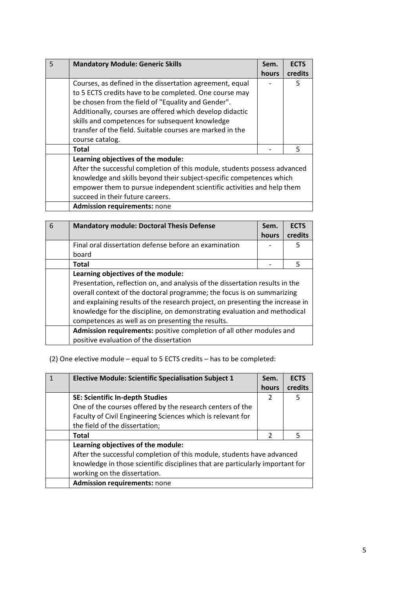| $\overline{5}$ | <b>Mandatory Module: Generic Skills</b>                                                                                                                                                                                                                                                                                                                                 | Sem.         | <b>ECTS</b> |
|----------------|-------------------------------------------------------------------------------------------------------------------------------------------------------------------------------------------------------------------------------------------------------------------------------------------------------------------------------------------------------------------------|--------------|-------------|
|                |                                                                                                                                                                                                                                                                                                                                                                         | <b>hours</b> | credits     |
|                | Courses, as defined in the dissertation agreement, equal<br>to 5 ECTS credits have to be completed. One course may<br>be chosen from the field of "Equality and Gender".<br>Additionally, courses are offered which develop didactic<br>skills and competences for subsequent knowledge<br>transfer of the field. Suitable courses are marked in the<br>course catalog. |              | 5           |
|                | Total                                                                                                                                                                                                                                                                                                                                                                   |              | 5           |
|                | Learning objectives of the module:<br>After the successful completion of this module, students possess advanced<br>knowledge and skills beyond their subject-specific competences which<br>empower them to pursue independent scientific activities and help them<br>succeed in their future careers.                                                                   |              |             |
|                | <b>Admission requirements: none</b>                                                                                                                                                                                                                                                                                                                                     |              |             |

| 6 | <b>Mandatory module: Doctoral Thesis Defense</b>                                                                                                                                                                                                                                                                                                                         | Sem.  | <b>ECTS</b> |
|---|--------------------------------------------------------------------------------------------------------------------------------------------------------------------------------------------------------------------------------------------------------------------------------------------------------------------------------------------------------------------------|-------|-------------|
|   |                                                                                                                                                                                                                                                                                                                                                                          | hours | credits     |
|   | Final oral dissertation defense before an examination                                                                                                                                                                                                                                                                                                                    |       | 5           |
|   | board                                                                                                                                                                                                                                                                                                                                                                    |       |             |
|   | Total                                                                                                                                                                                                                                                                                                                                                                    |       | 5           |
|   | Learning objectives of the module:                                                                                                                                                                                                                                                                                                                                       |       |             |
|   | Presentation, reflection on, and analysis of the dissertation results in the<br>overall context of the doctoral programme; the focus is on summarizing<br>and explaining results of the research project, on presenting the increase in<br>knowledge for the discipline, on demonstrating evaluation and methodical<br>competences as well as on presenting the results. |       |             |
|   | Admission requirements: positive completion of all other modules and                                                                                                                                                                                                                                                                                                     |       |             |
|   | positive evaluation of the dissertation                                                                                                                                                                                                                                                                                                                                  |       |             |

(2) One elective module – equal to 5 ECTS credits – has to be completed:

| <b>Elective Module: Scientific Specialisation Subject 1</b>                   | Sem.<br>hours | <b>ECTS</b><br>credits |
|-------------------------------------------------------------------------------|---------------|------------------------|
| SE: Scientific In-depth Studies                                               | 2             | 5                      |
| One of the courses offered by the research centers of the                     |               |                        |
| Faculty of Civil Engineering Sciences which is relevant for                   |               |                        |
| the field of the dissertation;                                                |               |                        |
| <b>Total</b>                                                                  | $\mathcal{P}$ | .5                     |
| Learning objectives of the module:                                            |               |                        |
| After the successful completion of this module, students have advanced        |               |                        |
| knowledge in those scientific disciplines that are particularly important for |               |                        |
| working on the dissertation.                                                  |               |                        |
| <b>Admission requirements: none</b>                                           |               |                        |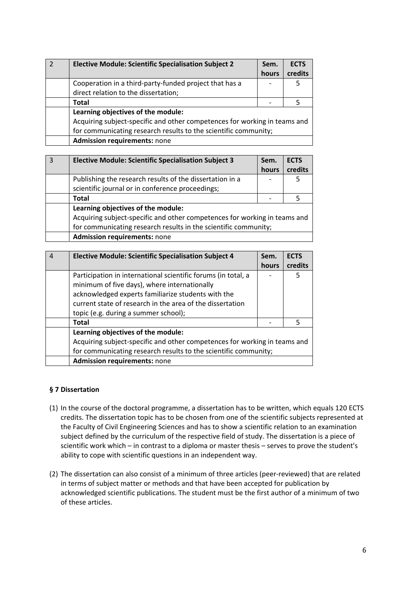| <b>Elective Module: Scientific Specialisation Subject 2</b>               | Sem.  | <b>ECTS</b> |
|---------------------------------------------------------------------------|-------|-------------|
|                                                                           | hours | credits     |
| Cooperation in a third-party-funded project that has a                    |       | 5           |
| direct relation to the dissertation;                                      |       |             |
| <b>Total</b>                                                              |       |             |
| Learning objectives of the module:                                        |       |             |
| Acquiring subject-specific and other competences for working in teams and |       |             |
| for communicating research results to the scientific community;           |       |             |
| <b>Admission requirements: none</b>                                       |       |             |

| 3 | <b>Elective Module: Scientific Specialisation Subject 3</b>               | Sem.  | <b>ECTS</b> |
|---|---------------------------------------------------------------------------|-------|-------------|
|   |                                                                           | hours | credits     |
|   | Publishing the research results of the dissertation in a                  |       | 5           |
|   | scientific journal or in conference proceedings;                          |       |             |
|   | Total                                                                     |       |             |
|   | Learning objectives of the module:                                        |       |             |
|   | Acquiring subject-specific and other competences for working in teams and |       |             |
|   | for communicating research results in the scientific community;           |       |             |
|   | <b>Admission requirements: none</b>                                       |       |             |

| <b>Elective Module: Scientific Specialisation Subject 4</b>               | Sem.  | <b>ECTS</b> |
|---------------------------------------------------------------------------|-------|-------------|
|                                                                           | hours | credits     |
| Participation in international scientific forums (in total, a             |       | 5           |
| minimum of five days), where internationally                              |       |             |
| acknowledged experts familiarize students with the                        |       |             |
| current state of research in the area of the dissertation                 |       |             |
| topic (e.g. during a summer school);                                      |       |             |
| <b>Total</b>                                                              |       | 5           |
| Learning objectives of the module:                                        |       |             |
| Acquiring subject-specific and other competences for working in teams and |       |             |
| for communicating research results to the scientific community;           |       |             |
| <b>Admission requirements: none</b>                                       |       |             |

## **§ 7 Dissertation**

- (1) In the course of the doctoral programme, a dissertation has to be written, which equals 120 ECTS credits. The dissertation topic has to be chosen from one of the scientific subjects represented at the Faculty of Civil Engineering Sciences and has to show a scientific relation to an examination subject defined by the curriculum of the respective field of study. The dissertation is a piece of scientific work which – in contrast to a diploma or master thesis – serves to prove the student's ability to cope with scientific questions in an independent way.
- (2) The dissertation can also consist of a minimum of three articles (peer‐reviewed) that are related in terms of subject matter or methods and that have been accepted for publication by acknowledged scientific publications. The student must be the first author of a minimum of two of these articles.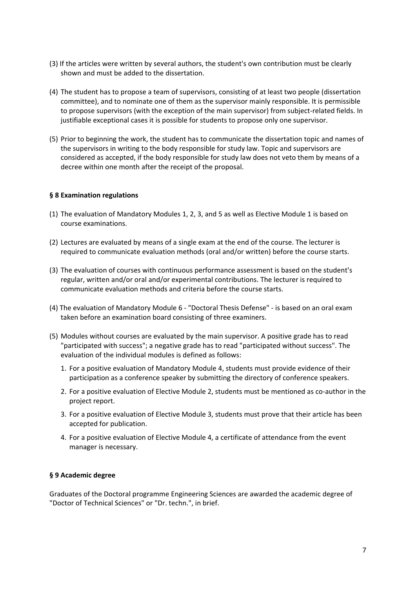- (3) If the articles were written by several authors, the student's own contribution must be clearly shown and must be added to the dissertation.
- (4) The student has to propose a team of supervisors, consisting of at least two people (dissertation committee), and to nominate one of them as the supervisor mainly responsible. It is permissible to propose supervisors (with the exception of the main supervisor) from subject-related fields. In justifiable exceptional cases it is possible for students to propose only one supervisor.
- (5) Prior to beginning the work, the student has to communicate the dissertation topic and names of the supervisors in writing to the body responsible for study law. Topic and supervisors are considered as accepted, if the body responsible for study law does not veto them by means of a decree within one month after the receipt of the proposal.

#### **§ 8 Examination regulations**

- (1) The evaluation of Mandatory Modules 1, 2, 3, and 5 as well as Elective Module 1 is based on course examinations.
- (2) Lectures are evaluated by means of a single exam at the end of the course. The lecturer is required to communicate evaluation methods (oral and/or written) before the course starts.
- (3) The evaluation of courses with continuous performance assessment is based on the student's regular, written and/or oral and/or experimental contributions. The lecturer is required to communicate evaluation methods and criteria before the course starts.
- (4) The evaluation of Mandatory Module 6 ‐ "Doctoral Thesis Defense" ‐ is based on an oral exam taken before an examination board consisting of three examiners.
- (5) Modules without courses are evaluated by the main supervisor. A positive grade has to read "participated with success"; a negative grade has to read "participated without success". The evaluation of the individual modules is defined as follows:
	- 1. For a positive evaluation of Mandatory Module 4, students must provide evidence of their participation as a conference speaker by submitting the directory of conference speakers.
	- 2. For a positive evaluation of Elective Module 2, students must be mentioned as co-author in the project report.
	- 3. For a positive evaluation of Elective Module 3, students must prove that their article has been accepted for publication.
	- 4. For a positive evaluation of Elective Module 4, a certificate of attendance from the event manager is necessary.

#### **§ 9 Academic degree**

Graduates of the Doctoral programme Engineering Sciences are awarded the academic degree of "Doctor of Technical Sciences" or "Dr. techn.", in brief.